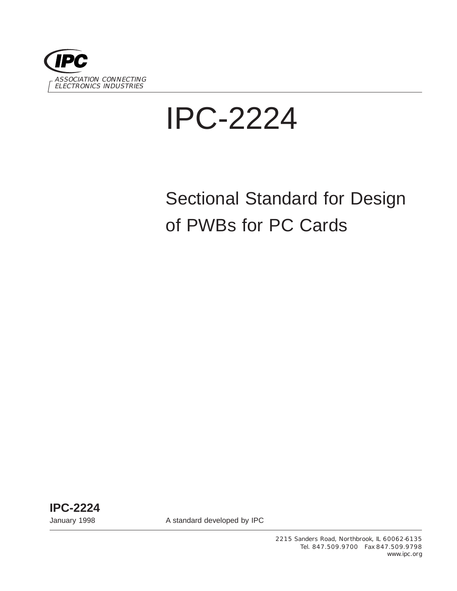

# IPC-2224

# Sectional Standard for Design of PWBs for PC Cards

**IPC-2224**

January 1998 **A standard developed by IPC** 

2215 Sanders Road, Northbrook, IL 60062-6135 Tel. 847.509.9700 Fax 847.509.9798 www.ipc.org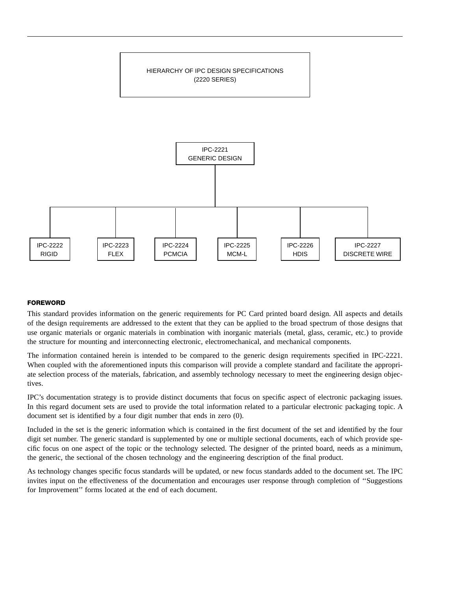

#### **FOREWORD**

This standard provides information on the generic requirements for PC Card printed board design. All aspects and details of the design requirements are addressed to the extent that they can be applied to the broad spectrum of those designs that use organic materials or organic materials in combination with inorganic materials (metal, glass, ceramic, etc.) to provide the structure for mounting and interconnecting electronic, electromechanical, and mechanical components.

The information contained herein is intended to be compared to the generic design requirements specified in IPC-2221. When coupled with the aforementioned inputs this comparison will provide a complete standard and facilitate the appropriate selection process of the materials, fabrication, and assembly technology necessary to meet the engineering design objectives.

IPC's documentation strategy is to provide distinct documents that focus on specific aspect of electronic packaging issues. In this regard document sets are used to provide the total information related to a particular electronic packaging topic. A document set is identified by a four digit number that ends in zero (0).

Included in the set is the generic information which is contained in the first document of the set and identified by the four digit set number. The generic standard is supplemented by one or multiple sectional documents, each of which provide specific focus on one aspect of the topic or the technology selected. The designer of the printed board, needs as a minimum, the generic, the sectional of the chosen technology and the engineering description of the final product.

As technology changes specific focus standards will be updated, or new focus standards added to the document set. The IPC invites input on the effectiveness of the documentation and encourages user response through completion of ''Suggestions for Improvement'' forms located at the end of each document.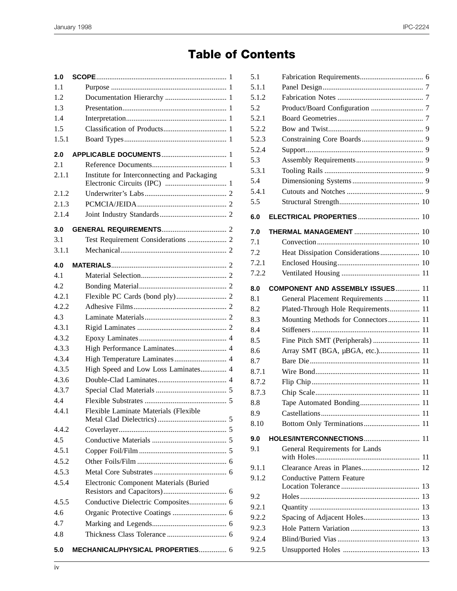## **Table of Contents**

| 1.0   |                                             |
|-------|---------------------------------------------|
| 1.1   |                                             |
| 1.2   |                                             |
| 1.3   |                                             |
| 1.4   |                                             |
| 1.5   |                                             |
| 1.5.1 |                                             |
| 2.0   |                                             |
| 2.1   |                                             |
| 2.1.1 | Institute for Interconnecting and Packaging |
| 2.1.2 |                                             |
| 2.1.3 |                                             |
| 2.1.4 |                                             |
| 3.0   |                                             |
| 3.1   |                                             |
| 3.1.1 |                                             |
| 4.0   |                                             |
| 41    |                                             |
|       |                                             |
| 4.2   |                                             |
| 4.2.1 |                                             |
| 4.2.2 |                                             |
| 4.3   |                                             |
| 4.3.1 |                                             |
| 4.3.2 |                                             |
| 4.3.3 | High Performance Laminates 4                |
| 4.3.4 |                                             |
| 4.3.5 | High Speed and Low Loss Laminates 4         |
| 4.3.6 |                                             |
| 4.3.7 |                                             |
| 4.4   |                                             |
| 4.4.1 | Flexible Laminate Materials (Flexible       |
| 4.4.2 |                                             |
| 4.5   |                                             |
| 4.5.1 |                                             |
| 4.5.2 |                                             |
| 4.5.3 |                                             |
| 4.5.4 | Electronic Component Materials (Buried      |
| 4.5.5 | Conductive Dielectric Composites 6          |
| 4.6   |                                             |
| 4.7   |                                             |
| 4.8   |                                             |
| 5.0   | MECHANICAL/PHYSICAL PROPERTIES 6            |

| 5.1   |                                         |  |
|-------|-----------------------------------------|--|
| 5.1.1 |                                         |  |
| 5.1.2 |                                         |  |
| 5.2   |                                         |  |
| 5.2.1 |                                         |  |
| 5.2.2 |                                         |  |
| 5.2.3 |                                         |  |
| 5.2.4 |                                         |  |
| 5.3   |                                         |  |
| 5.3.1 |                                         |  |
| 5.4   |                                         |  |
| 5.4.1 |                                         |  |
| 5.5   |                                         |  |
| 6.0   | <b>ELECTRICAL PROPERTIES  10</b>        |  |
| 7.0   |                                         |  |
| 7.1   |                                         |  |
| 7.2   |                                         |  |
| 7.2.1 |                                         |  |
| 7.2.2 |                                         |  |
|       |                                         |  |
| 8.0   | <b>COMPONENT AND ASSEMBLY ISSUES 11</b> |  |
| 8.1   | General Placement Requirements  11      |  |
| 8.2   | Plated-Through Hole Requirements 11     |  |
| 8.3   | Mounting Methods for Connectors 11      |  |
| 8.4   |                                         |  |
| 8.5   | Fine Pitch SMT (Peripherals)  11        |  |
| 8.6   | Array SMT (BGA, µBGA, etc.) 11          |  |
| 8.7   |                                         |  |
| 8.7.1 |                                         |  |
| 8.7.2 |                                         |  |
| 8.7.3 |                                         |  |
| 8.8   |                                         |  |
| 8.9   |                                         |  |
| 8.10  |                                         |  |
| 9.0   | HOLES/INTERCONNECTIONS 11               |  |
| 9.1   | General Requirements for Lands          |  |
| 9.1.1 |                                         |  |
| 9.1.2 | <b>Conductive Pattern Feature</b>       |  |
| 9.2   |                                         |  |
| 9.2.1 |                                         |  |
| 9.2.2 |                                         |  |
| 9.2.3 |                                         |  |
| 9.2.4 |                                         |  |
| 9.2.5 |                                         |  |
|       |                                         |  |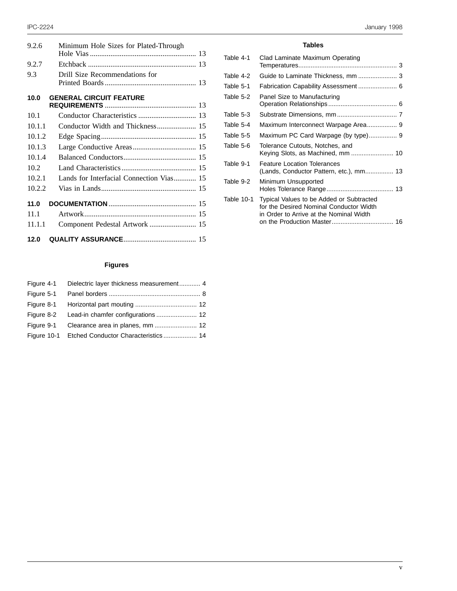| 9.2.6  | Minimum Hole Sizes for Plated-Through    |
|--------|------------------------------------------|
| 9.2.7  |                                          |
| 9.3    | Drill Size Recommendations for           |
| 10.0   | <b>GENERAL CIRCUIT FEATURE</b>           |
| 10.1   |                                          |
| 10.1.1 |                                          |
| 10.1.2 |                                          |
| 10.1.3 |                                          |
| 10.1.4 |                                          |
| 10.2   |                                          |
| 10.2.1 | Lands for Interfacial Connection Vias 15 |
| 10.2.2 |                                          |
| 11.0   |                                          |
| 11.1   |                                          |
| 11.1.1 | Component Pedestal Artwork  15           |
| 12.0   |                                          |

#### **Figures**

|            | Figure 4-1 Dielectric layer thickness measurement 4 |
|------------|-----------------------------------------------------|
| Figure 5-1 |                                                     |
|            |                                                     |
|            |                                                     |
|            |                                                     |
|            |                                                     |

#### **Tables**

| Table 4-1  | Clad Laminate Maximum Operating                                                                                                |
|------------|--------------------------------------------------------------------------------------------------------------------------------|
|            |                                                                                                                                |
| Table 4-2  |                                                                                                                                |
| Table 5-1  | Fabrication Capability Assessment 6                                                                                            |
| Table 5-2  | Panel Size to Manufacturing                                                                                                    |
| Table 5-3  |                                                                                                                                |
| Table 5-4  |                                                                                                                                |
| Table 5-5  |                                                                                                                                |
| Table 5-6  | Tolerance Cutouts, Notches, and<br>Keying Slots, as Machined, mm  10                                                           |
| Table 9-1  | <b>Feature Location Tolerances</b><br>(Lands, Conductor Pattern, etc.), mm 13                                                  |
| Table 9-2  | Minimum Unsupported                                                                                                            |
| Table 10-1 | Typical Values to be Added or Subtracted<br>for the Desired Nominal Conductor Width<br>in Order to Arrive at the Nominal Width |